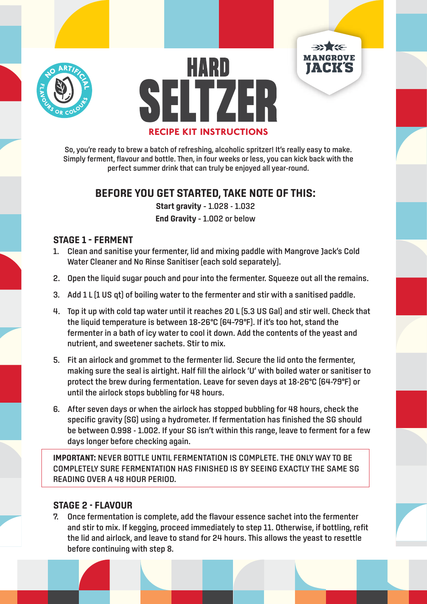



**MANGROVE** 



# **BEFORE YOU GET STARTED, TAKE NOTE OF THIS:**

**Start gravity** – 1.028 - 1.032 **End Gravity** – 1.002 or below

### **STAGE 1 – FERMENT**

- 1. Clean and sanitise your fermenter, lid and mixing paddle with Mangrove Jack's Cold Water Cleaner and No Rinse Sanitiser (each sold separately).
- 2. Open the liquid sugar pouch and pour into the fermenter. Squeeze out all the remains.
- 3. Add 1 L [1 US qt] of boiling water to the fermenter and stir with a sanitised paddle.
- 4. Top it up with cold tap water until it reaches 20 L (5.3 US Gal) and stir well. Check that the liquid temperature is between 18–26°C (64–79°F). If it's too hot, stand the fermenter in a bath of icy water to cool it down. Add the contents of the yeast and nutrient, and sweetener sachets. Stir to mix.
- 5. Fit an airlock and grommet to the fermenter lid. Secure the lid onto the fermenter, making sure the seal is airtight. Half fill the airlock 'U' with boiled water or sanitiser to protect the brew during fermentation. Leave for seven days at 18-26°C (64-79°F) or until the airlock stops bubbling for 48 hours.
- 6. After seven days or when the airlock has stopped bubbling for 48 hours, check the specific gravity (SG) using a hydrometer. If fermentation has finished the SG should be between 0.998 - 1.002. If your SG isn't within this range, leave to ferment for a few days longer before checking again.

**IMPORTANT:** NEVER BOTTLE UNTIL FERMENTATION IS COMPLETE. THE ONLY WAY TO BE COMPLETELY SURE FERMENTATION HAS FINISHED IS BY SEEING EXACTLY THE SAME SG READING OVER A 48 HOUR PERIOD.

## **STAGE 2 - FLAVOUR**

7. Once fermentation is complete, add the flavour essence sachet into the fermenter and stir to mix. If kegging, proceed immediately to step 11. Otherwise, if bottling, refit the lid and airlock, and leave to stand for 24 hours. This allows the yeast to resettle before continuing with step 8.